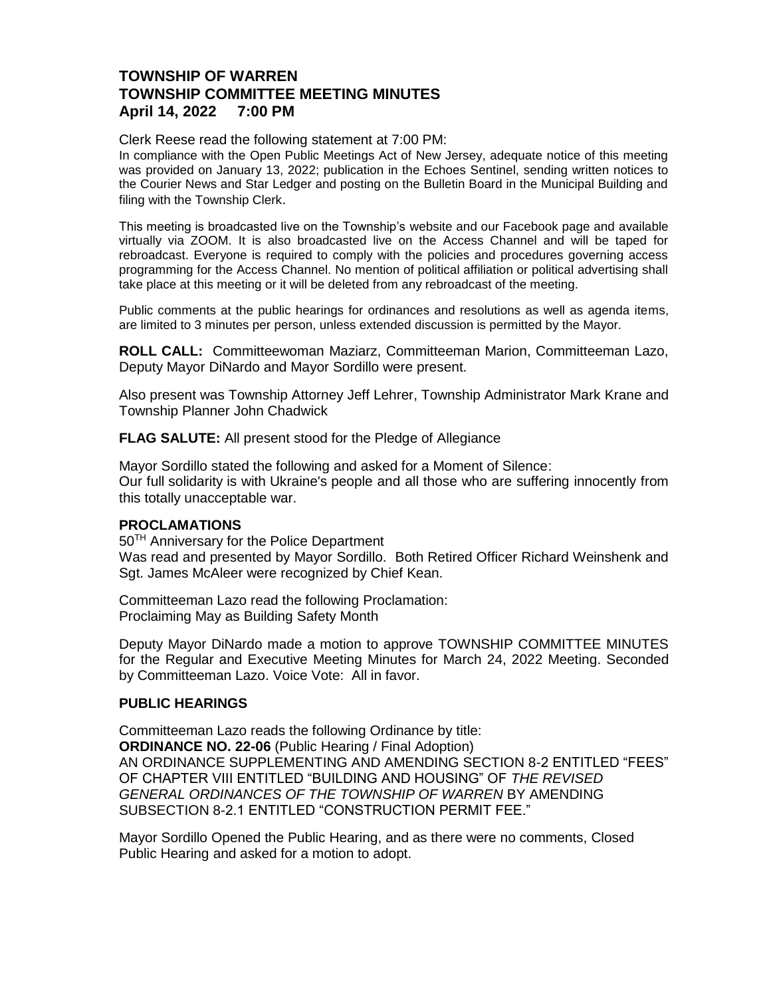## **TOWNSHIP OF WARREN TOWNSHIP COMMITTEE MEETING MINUTES April 14, 2022 7:00 PM**

Clerk Reese read the following statement at 7:00 PM:

In compliance with the Open Public Meetings Act of New Jersey, adequate notice of this meeting was provided on January 13, 2022; publication in the Echoes Sentinel, sending written notices to the Courier News and Star Ledger and posting on the Bulletin Board in the Municipal Building and filing with the Township Clerk.

This meeting is broadcasted live on the Township's website and our Facebook page and available virtually via ZOOM. It is also broadcasted live on the Access Channel and will be taped for rebroadcast. Everyone is required to comply with the policies and procedures governing access programming for the Access Channel. No mention of political affiliation or political advertising shall take place at this meeting or it will be deleted from any rebroadcast of the meeting.

Public comments at the public hearings for ordinances and resolutions as well as agenda items, are limited to 3 minutes per person, unless extended discussion is permitted by the Mayor.

**ROLL CALL:** Committeewoman Maziarz, Committeeman Marion, Committeeman Lazo, Deputy Mayor DiNardo and Mayor Sordillo were present.

Also present was Township Attorney Jeff Lehrer, Township Administrator Mark Krane and Township Planner John Chadwick

**FLAG SALUTE:** All present stood for the Pledge of Allegiance

Mayor Sordillo stated the following and asked for a Moment of Silence: Our full solidarity is with Ukraine's people and all those who are suffering innocently from this totally unacceptable war.

#### **PROCLAMATIONS**

50TH Anniversary for the Police Department Was read and presented by Mayor Sordillo.Both Retired Officer Richard Weinshenk and Sgt. James McAleer were recognized by Chief Kean.

Committeeman Lazo read the following Proclamation: Proclaiming May as Building Safety Month

Deputy Mayor DiNardo made a motion to approve TOWNSHIP COMMITTEE MINUTES for the Regular and Executive Meeting Minutes for March 24, 2022 Meeting. Seconded by Committeeman Lazo. Voice Vote: All in favor.

#### **PUBLIC HEARINGS**

Committeeman Lazo reads the following Ordinance by title: **[ORDINANCE NO. 22-06](https://nj-warrentownship.civicplus.com/DocumentCenter/View/5534/Ordinance-22-06-Amending-Fee-For-Reinstatement-of-a-Construction-Permit-PDF)** (Public Hearing / Final Adoption) AN ORDINANCE SUPPLEMENTING AND AMENDING SECTION 8-2 ENTITLED "FEES" OF CHAPTER VIII ENTITLED "BUILDING AND HOUSING" OF *THE REVISED GENERAL ORDINANCES OF THE TOWNSHIP OF WARREN* BY AMENDING SUBSECTION 8-2.1 ENTITLED "CONSTRUCTION PERMIT FEE."

Mayor Sordillo Opened the Public Hearing, and as there were no comments, Closed Public Hearing and asked for a motion to adopt.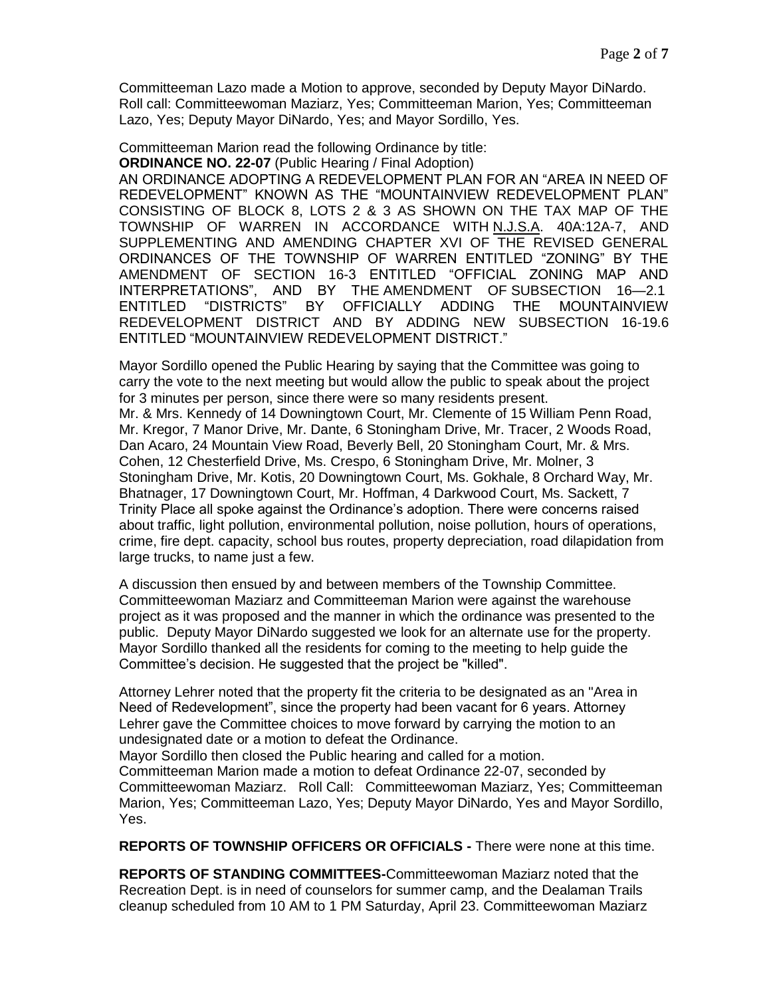Committeeman Lazo made a Motion to approve, seconded by Deputy Mayor DiNardo. Roll call: Committeewoman Maziarz, Yes; Committeeman Marion, Yes; Committeeman Lazo, Yes; Deputy Mayor DiNardo, Yes; and Mayor Sordillo, Yes.

Committeeman Marion read the following Ordinance by title:

**ORDINANCE NO. 22-07** (Public Hearing / Final Adoption)

AN ORDINANCE ADOPTING A REDEVELOPMENT PLAN FOR AN "AREA IN NEED OF REDEVELOPMENT" KNOWN AS THE "MOUNTAINVIEW REDEVELOPMENT PLAN" CONSISTING OF BLOCK 8, LOTS 2 & 3 AS SHOWN ON THE TAX MAP OF THE TOWNSHIP OF WARREN IN ACCORDANCE WITH N.J.S.A. 40A:12A-7, AND SUPPLEMENTING AND AMENDING CHAPTER XVI OF THE REVISED GENERAL ORDINANCES OF THE TOWNSHIP OF WARREN ENTITLED "ZONING" BY THE AMENDMENT OF SECTION 16-3 ENTITLED "OFFICIAL ZONING MAP AND INTERPRETATIONS", AND BY THE AMENDMENT OF SUBSECTION 16—2.1 ENTITLED "DISTRICTS" BY OFFICIALLY ADDING THE MOUNTAINVIEW REDEVELOPMENT DISTRICT AND BY ADDING NEW SUBSECTION 16-19.6 ENTITLED "MOUNTAINVIEW REDEVELOPMENT DISTRICT."

Mayor Sordillo opened the Public Hearing by saying that the Committee was going to carry the vote to the next meeting but would allow the public to speak about the project for 3 minutes per person, since there were so many residents present. Mr. & Mrs. Kennedy of 14 Downingtown Court, Mr. Clemente of 15 William Penn Road, Mr. Kregor, 7 Manor Drive, Mr. Dante, 6 Stoningham Drive, Mr. Tracer, 2 Woods Road, Dan Acaro, 24 Mountain View Road, Beverly Bell, 20 Stoningham Court, Mr. & Mrs. Cohen, 12 Chesterfield Drive, Ms. Crespo, 6 Stoningham Drive, Mr. Molner, 3 Stoningham Drive, Mr. Kotis, 20 Downingtown Court, Ms. Gokhale, 8 Orchard Way, Mr. Bhatnager, 17 Downingtown Court, Mr. Hoffman, 4 Darkwood Court, Ms. Sackett, 7 Trinity Place all spoke against the Ordinance's adoption. There were concerns raised

about traffic, light pollution, environmental pollution, noise pollution, hours of operations, crime, fire dept. capacity, school bus routes, property depreciation, road dilapidation from large trucks, to name just a few.

A discussion then ensued by and between members of the Township Committee. Committeewoman Maziarz and Committeeman Marion were against the warehouse project as it was proposed and the manner in which the ordinance was presented to the public. Deputy Mayor DiNardo suggested we look for an alternate use for the property. Mayor Sordillo thanked all the residents for coming to the meeting to help guide the Committee's decision. He suggested that the project be "killed".

Attorney Lehrer noted that the property fit the criteria to be designated as an "Area in Need of Redevelopment", since the property had been vacant for 6 years. Attorney Lehrer gave the Committee choices to move forward by carrying the motion to an undesignated date or a motion to defeat the Ordinance.

Mayor Sordillo then closed the Public hearing and called for a motion. Committeeman Marion made a motion to defeat Ordinance 22-07, seconded by Committeewoman Maziarz. Roll Call: Committeewoman Maziarz, Yes; Committeeman Marion, Yes; Committeeman Lazo, Yes; Deputy Mayor DiNardo, Yes and Mayor Sordillo, Yes.

**REPORTS OF TOWNSHIP OFFICERS OR OFFICIALS -** There were none at this time.

**REPORTS OF STANDING COMMITTEES-**Committeewoman Maziarz noted that the Recreation Dept. is in need of counselors for summer camp, and the Dealaman Trails cleanup scheduled from 10 AM to 1 PM Saturday, April 23. Committeewoman Maziarz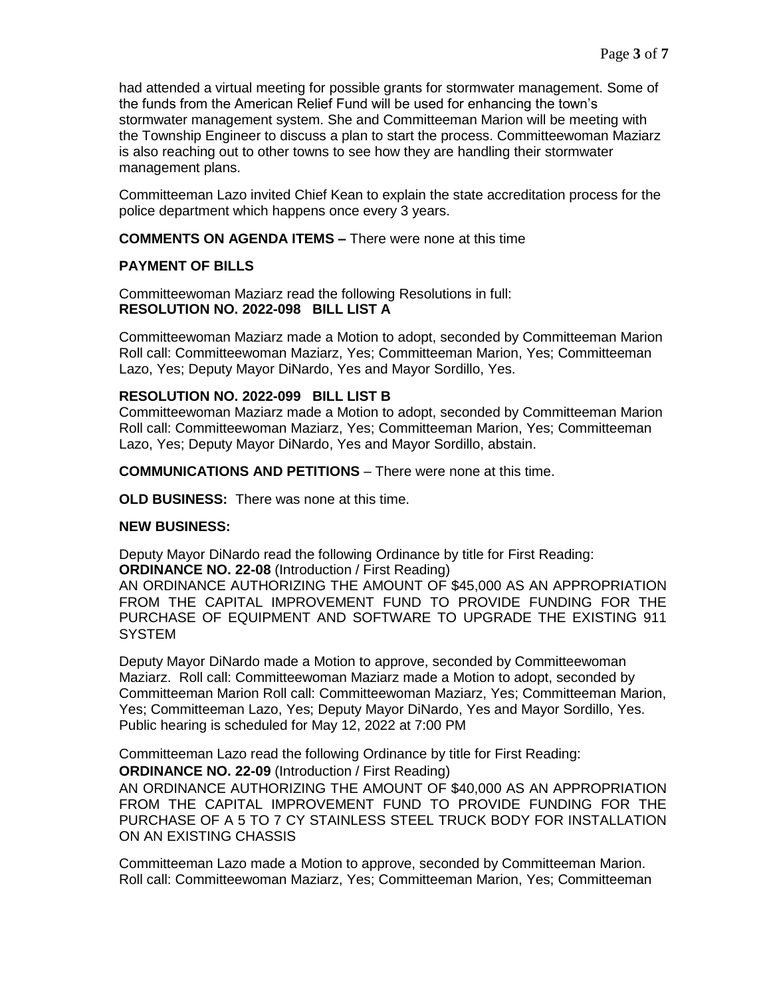had attended a virtual meeting for possible grants for stormwater management. Some of the funds from the American Relief Fund will be used for enhancing the town's stormwater management system. She and Committeeman Marion will be meeting with the Township Engineer to discuss a plan to start the process. Committeewoman Maziarz is also reaching out to other towns to see how they are handling their stormwater management plans.

Committeeman Lazo invited Chief Kean to explain the state accreditation process for the police department which happens once every 3 years.

**COMMENTS ON AGENDA ITEMS –** There were none at this time

### **PAYMENT OF BILLS**

Committeewoman Maziarz read the following Resolutions in full: **RESOLUTION NO. 2022-098 BILL LIST A**

Committeewoman Maziarz made a Motion to adopt, seconded by Committeeman Marion Roll call: Committeewoman Maziarz, Yes; Committeeman Marion, Yes; Committeeman Lazo, Yes; Deputy Mayor DiNardo, Yes and Mayor Sordillo, Yes.

### **RESOLUTION NO. 2022-099 BILL LIST B**

Committeewoman Maziarz made a Motion to adopt, seconded by Committeeman Marion Roll call: Committeewoman Maziarz, Yes; Committeeman Marion, Yes; Committeeman Lazo, Yes; Deputy Mayor DiNardo, Yes and Mayor Sordillo, abstain.

**COMMUNICATIONS AND PETITIONS** – There were none at this time.

**OLD BUSINESS:** There was none at this time.

#### **NEW BUSINESS:**

Deputy Mayor DiNardo read the following Ordinance by title for First Reading: **ORDINANCE NO. 22-08** (Introduction / First Reading)

AN ORDINANCE AUTHORIZING THE AMOUNT OF \$45,000 AS AN APPROPRIATION FROM THE CAPITAL IMPROVEMENT FUND TO PROVIDE FUNDING FOR THE PURCHASE OF EQUIPMENT AND SOFTWARE TO UPGRADE THE EXISTING 911 **SYSTEM** 

Deputy Mayor DiNardo made a Motion to approve, seconded by Committeewoman Maziarz. Roll call: Committeewoman Maziarz made a Motion to adopt, seconded by Committeeman Marion Roll call: Committeewoman Maziarz, Yes; Committeeman Marion, Yes; Committeeman Lazo, Yes; Deputy Mayor DiNardo, Yes and Mayor Sordillo, Yes. Public hearing is scheduled for May 12, 2022 at 7:00 PM

Committeeman Lazo read the following Ordinance by title for First Reading:

**ORDINANCE NO. 22-09** (Introduction / First Reading)

AN ORDINANCE AUTHORIZING THE AMOUNT OF \$40,000 AS AN APPROPRIATION FROM THE CAPITAL IMPROVEMENT FUND TO PROVIDE FUNDING FOR THE PURCHASE OF A 5 TO 7 CY STAINLESS STEEL TRUCK BODY FOR INSTALLATION ON AN EXISTING CHASSIS

Committeeman Lazo made a Motion to approve, seconded by Committeeman Marion. Roll call: Committeewoman Maziarz, Yes; Committeeman Marion, Yes; Committeeman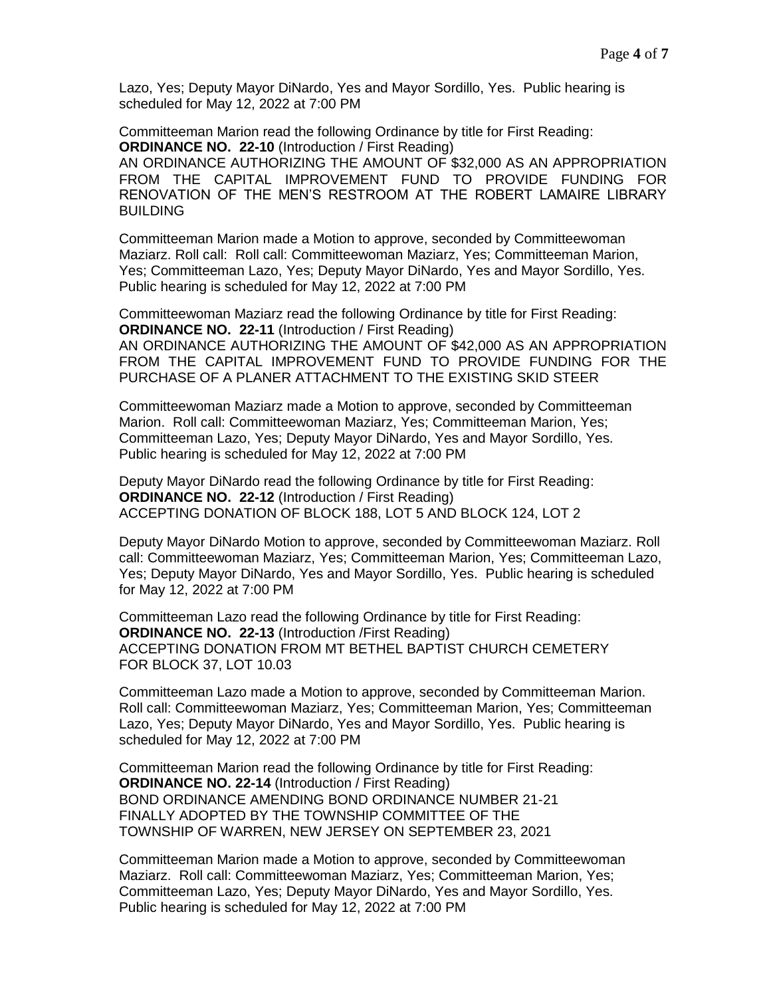Lazo, Yes; Deputy Mayor DiNardo, Yes and Mayor Sordillo, Yes. Public hearing is scheduled for May 12, 2022 at 7:00 PM

Committeeman Marion read the following Ordinance by title for First Reading: **ORDINANCE NO. 22-10** (Introduction / First Reading)

AN ORDINANCE AUTHORIZING THE AMOUNT OF \$32,000 AS AN APPROPRIATION FROM THE CAPITAL IMPROVEMENT FUND TO PROVIDE FUNDING FOR RENOVATION OF THE MEN'S RESTROOM AT THE ROBERT LAMAIRE LIBRARY BUILDING

Committeeman Marion made a Motion to approve, seconded by Committeewoman Maziarz. Roll call: Roll call: Committeewoman Maziarz, Yes; Committeeman Marion, Yes; Committeeman Lazo, Yes; Deputy Mayor DiNardo, Yes and Mayor Sordillo, Yes. Public hearing is scheduled for May 12, 2022 at 7:00 PM

Committeewoman Maziarz read the following Ordinance by title for First Reading: **ORDINANCE NO. 22-11** (Introduction / First Reading)

AN ORDINANCE AUTHORIZING THE AMOUNT OF \$42,000 AS AN APPROPRIATION FROM THE CAPITAL IMPROVEMENT FUND TO PROVIDE FUNDING FOR THE PURCHASE OF A PLANER ATTACHMENT TO THE EXISTING SKID STEER

Committeewoman Maziarz made a Motion to approve, seconded by Committeeman Marion. Roll call: Committeewoman Maziarz, Yes; Committeeman Marion, Yes; Committeeman Lazo, Yes; Deputy Mayor DiNardo, Yes and Mayor Sordillo, Yes. Public hearing is scheduled for May 12, 2022 at 7:00 PM

Deputy Mayor DiNardo read the following Ordinance by title for First Reading: **ORDINANCE NO. 22-12** (Introduction / First Reading) ACCEPTING DONATION OF BLOCK 188, LOT 5 AND BLOCK 124, LOT 2

Deputy Mayor DiNardo Motion to approve, seconded by Committeewoman Maziarz. Roll call: Committeewoman Maziarz, Yes; Committeeman Marion, Yes; Committeeman Lazo, Yes; Deputy Mayor DiNardo, Yes and Mayor Sordillo, Yes. Public hearing is scheduled for May 12, 2022 at 7:00 PM

Committeeman Lazo read the following Ordinance by title for First Reading: **ORDINANCE NO. 22-13** (Introduction /First Reading) ACCEPTING DONATION FROM MT BETHEL BAPTIST CHURCH CEMETERY FOR BLOCK 37, LOT 10.03

Committeeman Lazo made a Motion to approve, seconded by Committeeman Marion. Roll call: Committeewoman Maziarz, Yes; Committeeman Marion, Yes; Committeeman Lazo, Yes; Deputy Mayor DiNardo, Yes and Mayor Sordillo, Yes. Public hearing is scheduled for May 12, 2022 at 7:00 PM

Committeeman Marion read the following Ordinance by title for First Reading: **ORDINANCE NO. 22-14** (Introduction / First Reading) BOND ORDINANCE AMENDING BOND ORDINANCE NUMBER 21-21 FINALLY ADOPTED BY THE TOWNSHIP COMMITTEE OF THE TOWNSHIP OF WARREN, NEW JERSEY ON SEPTEMBER 23, 2021

Committeeman Marion made a Motion to approve, seconded by Committeewoman Maziarz. Roll call: Committeewoman Maziarz, Yes; Committeeman Marion, Yes; Committeeman Lazo, Yes; Deputy Mayor DiNardo, Yes and Mayor Sordillo, Yes. Public hearing is scheduled for May 12, 2022 at 7:00 PM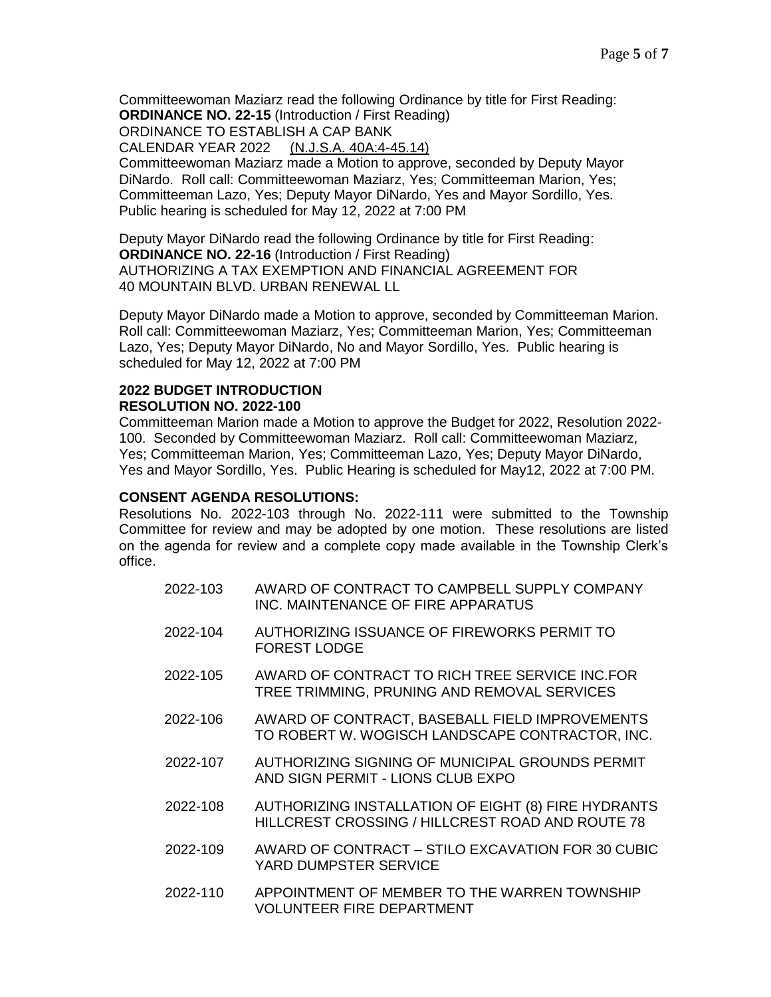Committeewoman Maziarz read the following Ordinance by title for First Reading: **ORDINANCE NO. 22-15** (Introduction / First Reading)

ORDINANCE TO ESTABLISH A CAP BANK

CALENDAR YEAR 2022 (N.J.S.A. 40A:4-45.14)

Committeewoman Maziarz made a Motion to approve, seconded by Deputy Mayor DiNardo. Roll call: Committeewoman Maziarz, Yes; Committeeman Marion, Yes; Committeeman Lazo, Yes; Deputy Mayor DiNardo, Yes and Mayor Sordillo, Yes. Public hearing is scheduled for May 12, 2022 at 7:00 PM

Deputy Mayor DiNardo read the following Ordinance by title for First Reading: **ORDINANCE NO. 22-16** (Introduction / First Reading) AUTHORIZING A TAX EXEMPTION AND FINANCIAL AGREEMENT FOR 40 MOUNTAIN BLVD. URBAN RENEWAL LL

Deputy Mayor DiNardo made a Motion to approve, seconded by Committeeman Marion. Roll call: Committeewoman Maziarz, Yes; Committeeman Marion, Yes; Committeeman Lazo, Yes; Deputy Mayor DiNardo, No and Mayor Sordillo, Yes. Public hearing is scheduled for May 12, 2022 at 7:00 PM

### **2022 BUDGET INTRODUCTION RESOLUTION NO. 2022-100**

Committeeman Marion made a Motion to approve the Budget for 2022, Resolution 2022- 100. Seconded by Committeewoman Maziarz. Roll call: Committeewoman Maziarz, Yes; Committeeman Marion, Yes; Committeeman Lazo, Yes; Deputy Mayor DiNardo, Yes and Mayor Sordillo, Yes. Public Hearing is scheduled for May12, 2022 at 7:00 PM.

### **CONSENT AGENDA RESOLUTIONS:**

Resolutions No. 2022-103 through No. 2022-111 were submitted to the Township Committee for review and may be adopted by one motion. These resolutions are listed on the agenda for review and a complete copy made available in the Township Clerk's office.

| 2022-103 | AWARD OF CONTRACT TO CAMPBELL SUPPLY COMPANY<br>INC. MAINTENANCE OF FIRE APPARATUS                      |
|----------|---------------------------------------------------------------------------------------------------------|
| 2022-104 | AUTHORIZING ISSUANCE OF FIREWORKS PERMIT TO<br><b>FOREST LODGE</b>                                      |
| 2022-105 | AWARD OF CONTRACT TO RICH TREE SERVICE INC.FOR<br>TREE TRIMMING, PRUNING AND REMOVAL SERVICES           |
| 2022-106 | AWARD OF CONTRACT, BASEBALL FIELD IMPROVEMENTS<br>TO ROBERT W. WOGISCH LANDSCAPE CONTRACTOR, INC.       |
| 2022-107 | AUTHORIZING SIGNING OF MUNICIPAL GROUNDS PERMIT<br>AND SIGN PERMIT - LIONS CLUB EXPO                    |
| 2022-108 | AUTHORIZING INSTALLATION OF EIGHT (8) FIRE HYDRANTS<br>HILLCREST CROSSING / HILLCREST ROAD AND ROUTE 78 |
| 2022-109 | AWARD OF CONTRACT - STILO EXCAVATION FOR 30 CUBIC<br>YARD DUMPSTER SERVICE                              |
| 2022-110 | APPOINTMENT OF MEMBER TO THE WARREN TOWNSHIP<br><b>VOLUNTEER FIRE DEPARTMENT</b>                        |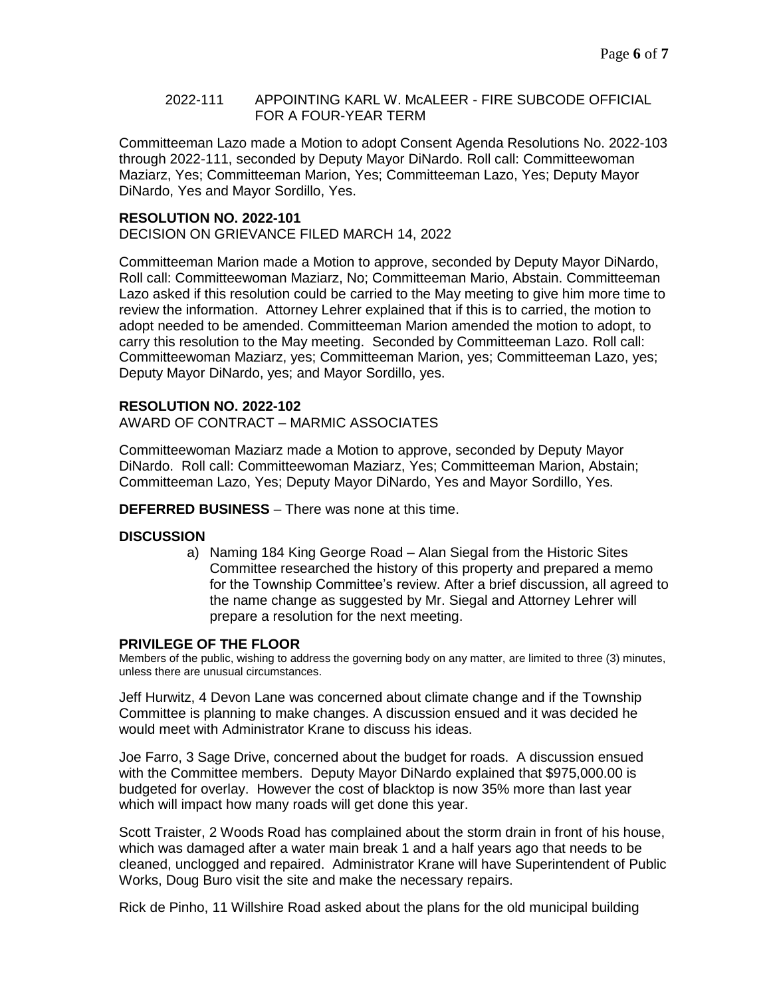#### 2022-111 APPOINTING KARL W. McALEER - FIRE SUBCODE OFFICIAL FOR A FOUR-YEAR TERM

Committeeman Lazo made a Motion to adopt Consent Agenda Resolutions No. 2022-103 through 2022-111, seconded by Deputy Mayor DiNardo. Roll call: Committeewoman Maziarz, Yes; Committeeman Marion, Yes; Committeeman Lazo, Yes; Deputy Mayor DiNardo, Yes and Mayor Sordillo, Yes.

#### **RESOLUTION NO. 2022-101**

DECISION ON GRIEVANCE FILED MARCH 14, 2022

Committeeman Marion made a Motion to approve, seconded by Deputy Mayor DiNardo, Roll call: Committeewoman Maziarz, No; Committeeman Mario, Abstain. Committeeman Lazo asked if this resolution could be carried to the May meeting to give him more time to review the information. Attorney Lehrer explained that if this is to carried, the motion to adopt needed to be amended. Committeeman Marion amended the motion to adopt, to carry this resolution to the May meeting. Seconded by Committeeman Lazo. Roll call: Committeewoman Maziarz, yes; Committeeman Marion, yes; Committeeman Lazo, yes; Deputy Mayor DiNardo, yes; and Mayor Sordillo, yes.

### **RESOLUTION NO. 2022-102**

AWARD OF CONTRACT – MARMIC ASSOCIATES

Committeewoman Maziarz made a Motion to approve, seconded by Deputy Mayor DiNardo. Roll call: Committeewoman Maziarz, Yes; Committeeman Marion, Abstain; Committeeman Lazo, Yes; Deputy Mayor DiNardo, Yes and Mayor Sordillo, Yes.

**DEFERRED BUSINESS** – There was none at this time.

#### **DISCUSSION**

a) Naming 184 King George Road – Alan Siegal from the Historic Sites Committee researched the history of this property and prepared a memo for the Township Committee's review. After a brief discussion, all agreed to the name change as suggested by Mr. Siegal and Attorney Lehrer will prepare a resolution for the next meeting.

#### **PRIVILEGE OF THE FLOOR**

Members of the public, wishing to address the governing body on any matter, are limited to three (3) minutes, unless there are unusual circumstances.

Jeff Hurwitz, 4 Devon Lane was concerned about climate change and if the Township Committee is planning to make changes. A discussion ensued and it was decided he would meet with Administrator Krane to discuss his ideas.

Joe Farro, 3 Sage Drive, concerned about the budget for roads. A discussion ensued with the Committee members. Deputy Mayor DiNardo explained that \$975,000.00 is budgeted for overlay. However the cost of blacktop is now 35% more than last year which will impact how many roads will get done this year.

Scott Traister, 2 Woods Road has complained about the storm drain in front of his house, which was damaged after a water main break 1 and a half years ago that needs to be cleaned, unclogged and repaired. Administrator Krane will have Superintendent of Public Works, Doug Buro visit the site and make the necessary repairs.

Rick de Pinho, 11 Willshire Road asked about the plans for the old municipal building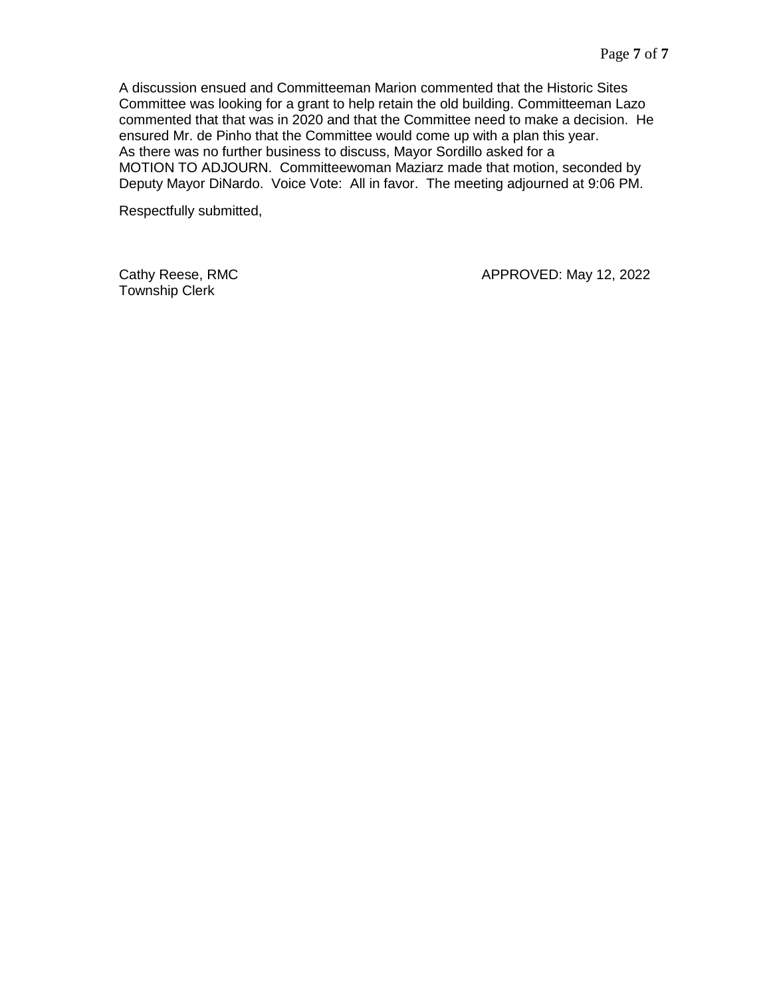A discussion ensued and Committeeman Marion commented that the Historic Sites Committee was looking for a grant to help retain the old building. Committeeman Lazo commented that that was in 2020 and that the Committee need to make a decision. He ensured Mr. de Pinho that the Committee would come up with a plan this year. As there was no further business to discuss, Mayor Sordillo asked for a MOTION TO ADJOURN. Committeewoman Maziarz made that motion, seconded by Deputy Mayor DiNardo. Voice Vote: All in favor. The meeting adjourned at 9:06 PM.

Respectfully submitted,

Township Clerk

Cathy Reese, RMC **Cathy Reese, RMC** APPROVED: May 12, 2022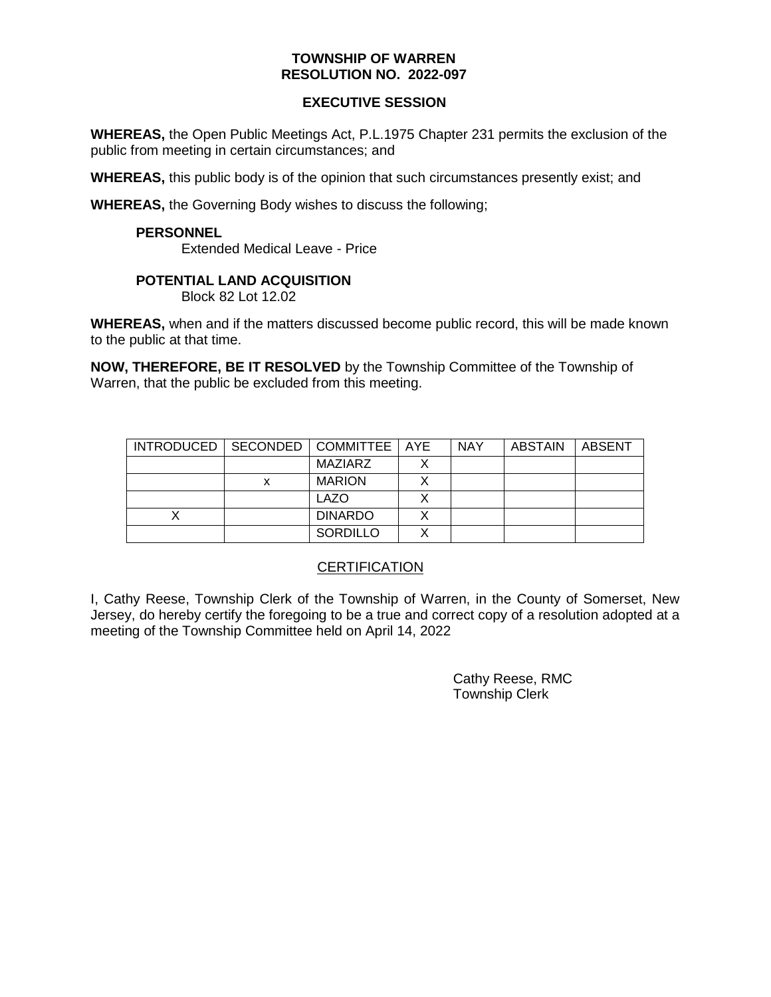### **EXECUTIVE SESSION**

**WHEREAS,** the Open Public Meetings Act, P.L.1975 Chapter 231 permits the exclusion of the public from meeting in certain circumstances; and

**WHEREAS,** this public body is of the opinion that such circumstances presently exist; and

**WHEREAS,** the Governing Body wishes to discuss the following;

### **PERSONNEL**

Extended Medical Leave - Price

### **POTENTIAL LAND ACQUISITION**

Block 82 Lot 12.02

**WHEREAS,** when and if the matters discussed become public record, this will be made known to the public at that time.

**NOW, THEREFORE, BE IT RESOLVED** by the Township Committee of the Township of Warren, that the public be excluded from this meeting.

| INTRODUCED   SECONDED   COMMITTEE   AYE |                 | <b>NAY</b> | ABSTAIN | ABSENT |
|-----------------------------------------|-----------------|------------|---------|--------|
|                                         | MAZIARZ         |            |         |        |
|                                         | <b>MARION</b>   |            |         |        |
|                                         | <b>LAZO</b>     |            |         |        |
|                                         | <b>DINARDO</b>  |            |         |        |
|                                         | <b>SORDILLO</b> |            |         |        |

### **CERTIFICATION**

I, Cathy Reese, Township Clerk of the Township of Warren, in the County of Somerset, New Jersey, do hereby certify the foregoing to be a true and correct copy of a resolution adopted at a meeting of the Township Committee held on April 14, 2022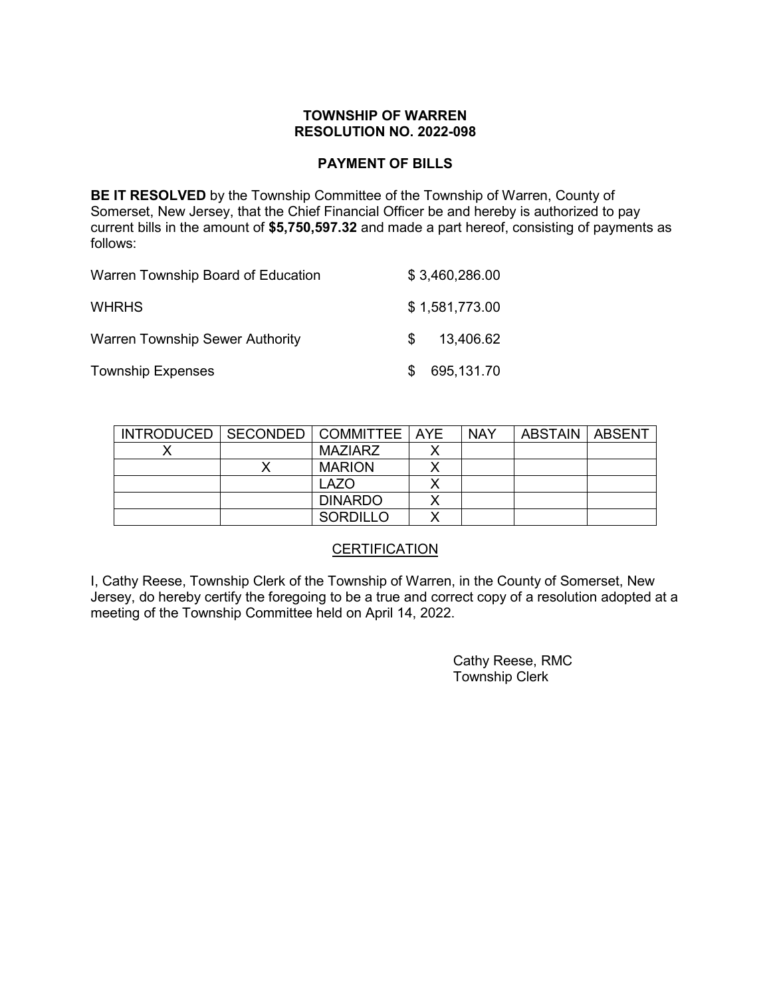### **PAYMENT OF BILLS**

**BE IT RESOLVED** by the Township Committee of the Township of Warren, County of Somerset, New Jersey, that the Chief Financial Officer be and hereby is authorized to pay current bills in the amount of **\$5,750,597.32** and made a part hereof, consisting of payments as follows:

| Warren Township Board of Education     | \$3,460,286.00 |
|----------------------------------------|----------------|
| <b>WHRHS</b>                           | \$1,581,773.00 |
| <b>Warren Township Sewer Authority</b> | 13,406.62      |
| <b>Township Expenses</b>               | 695,131.70     |

| INTRODUCED   SECONDED   COMMITTEE   AYE |                | <b>NAY</b> | <b>ABSTAIN   ABSENT</b> |  |
|-----------------------------------------|----------------|------------|-------------------------|--|
|                                         | <b>MAZIARZ</b> |            |                         |  |
|                                         | <b>MARION</b>  |            |                         |  |
|                                         | LAZO           |            |                         |  |
|                                         | <b>DINARDO</b> |            |                         |  |
|                                         | SORDILLO       |            |                         |  |

# **CERTIFICATION**

I, Cathy Reese, Township Clerk of the Township of Warren, in the County of Somerset, New Jersey, do hereby certify the foregoing to be a true and correct copy of a resolution adopted at a meeting of the Township Committee held on April 14, 2022.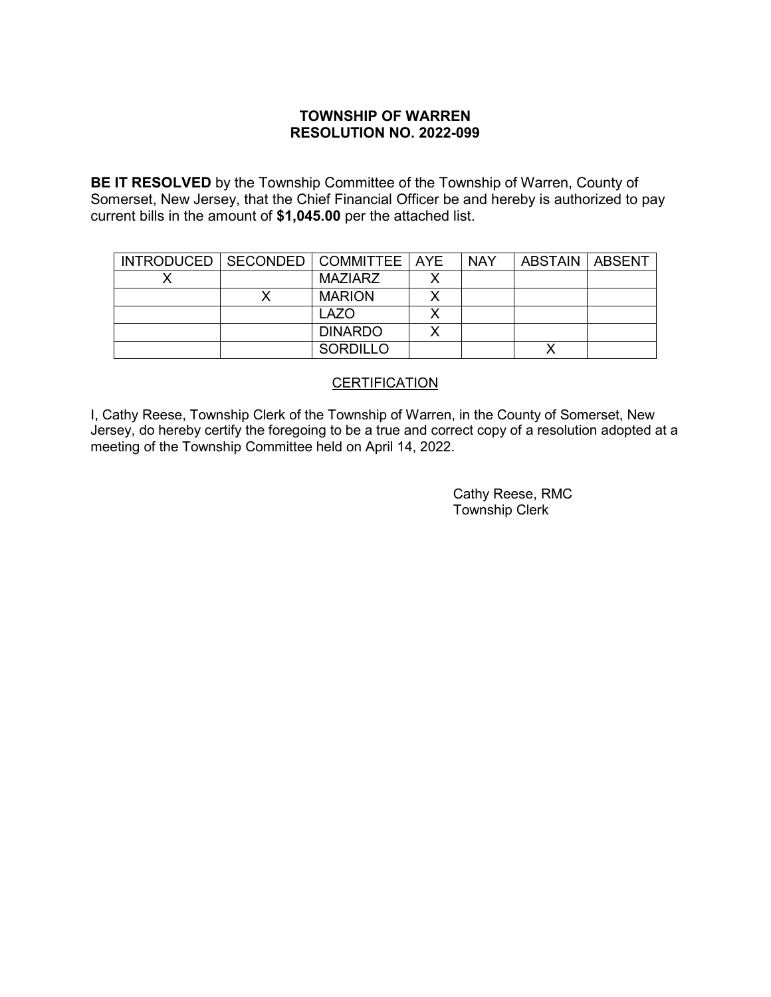**BE IT RESOLVED** by the Township Committee of the Township of Warren, County of Somerset, New Jersey, that the Chief Financial Officer be and hereby is authorized to pay current bills in the amount of **\$1,045.00** per the attached list.

| INTRODUCED   SECONDED   COMMITTEE   AYE |                 | <b>NAY</b> | ∣ ABSTAIN I ABSENT |  |
|-----------------------------------------|-----------------|------------|--------------------|--|
|                                         | <b>MAZIARZ</b>  |            |                    |  |
|                                         | <b>MARION</b>   |            |                    |  |
|                                         | LAZO            |            |                    |  |
|                                         | <b>DINARDO</b>  |            |                    |  |
|                                         | <b>SORDILLO</b> |            |                    |  |

### **CERTIFICATION**

I, Cathy Reese, Township Clerk of the Township of Warren, in the County of Somerset, New Jersey, do hereby certify the foregoing to be a true and correct copy of a resolution adopted at a meeting of the Township Committee held on April 14, 2022.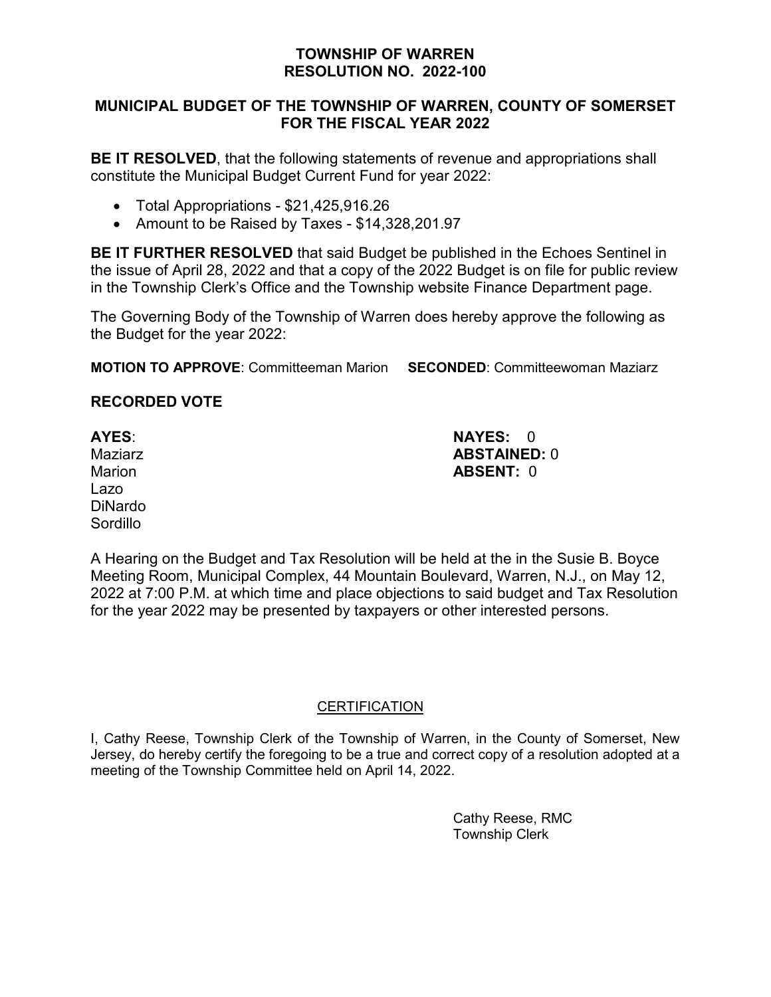# **MUNICIPAL BUDGET OF THE TOWNSHIP OF WARREN, COUNTY OF SOMERSET FOR THE FISCAL YEAR 2022**

**BE IT RESOLVED**, that the following statements of revenue and appropriations shall constitute the Municipal Budget Current Fund for year 2022:

- Total Appropriations \$21,425,916.26
- Amount to be Raised by Taxes \$14,328,201.97

**BE IT FURTHER RESOLVED** that said Budget be published in the Echoes Sentinel in the issue of April 28, 2022 and that a copy of the 2022 Budget is on file for public review in the Township Clerk's Office and the Township website Finance Department page.

The Governing Body of the Township of Warren does hereby approve the following as the Budget for the year 2022:

**MOTION TO APPROVE**: Committeeman Marion **SECONDED**: Committeewoman Maziarz

# **RECORDED VOTE**

Lazo DiNardo **Sordillo** 

**AYES**: **NAYES:** 0 Maziarz **ABSTAINED:** 0 Marion **ABSENT:** 0

A Hearing on the Budget and Tax Resolution will be held at the in the Susie B. Boyce Meeting Room, Municipal Complex, 44 Mountain Boulevard, Warren, N.J., on May 12, 2022 at 7:00 P.M. at which time and place objections to said budget and Tax Resolution for the year 2022 may be presented by taxpayers or other interested persons.

# **CERTIFICATION**

I, Cathy Reese, Township Clerk of the Township of Warren, in the County of Somerset, New Jersey, do hereby certify the foregoing to be a true and correct copy of a resolution adopted at a meeting of the Township Committee held on April 14, 2022.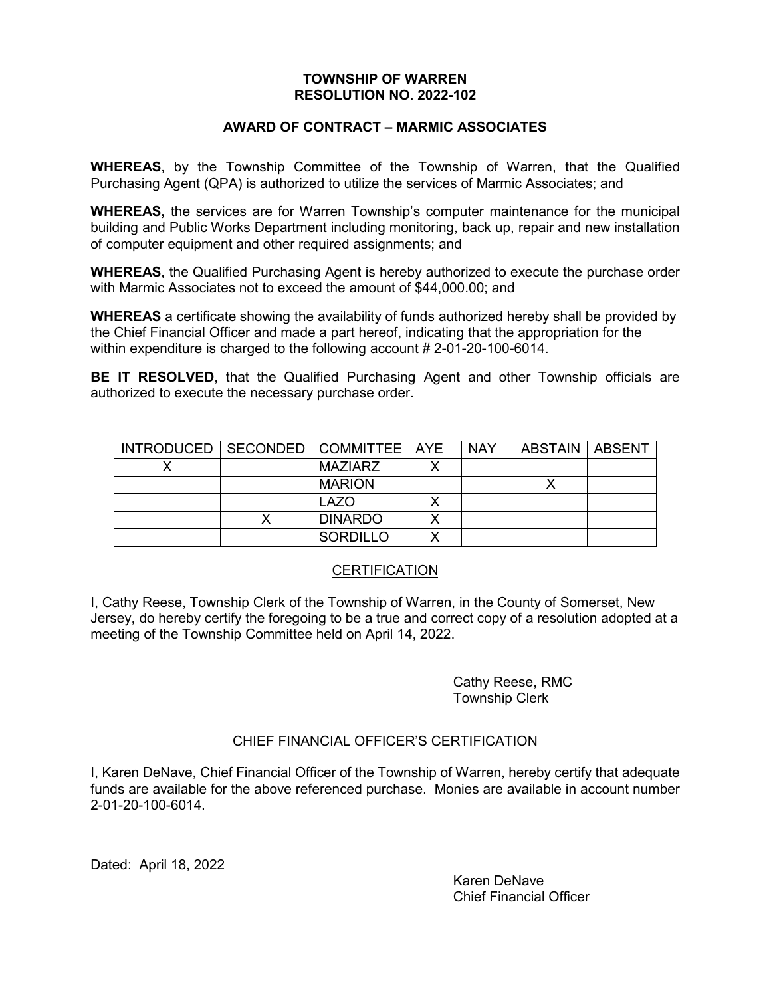### **AWARD OF CONTRACT – MARMIC ASSOCIATES**

**WHEREAS**, by the Township Committee of the Township of Warren, that the Qualified Purchasing Agent (QPA) is authorized to utilize the services of Marmic Associates; and

**WHEREAS,** the services are for Warren Township's computer maintenance for the municipal building and Public Works Department including monitoring, back up, repair and new installation of computer equipment and other required assignments; and

**WHEREAS**, the Qualified Purchasing Agent is hereby authorized to execute the purchase order with Marmic Associates not to exceed the amount of \$44,000.00; and

**WHEREAS** a certificate showing the availability of funds authorized hereby shall be provided by the Chief Financial Officer and made a part hereof, indicating that the appropriation for the within expenditure is charged to the following account # 2-01-20-100-6014.

**BE IT RESOLVED**, that the Qualified Purchasing Agent and other Township officials are authorized to execute the necessary purchase order.

| INTRODUCED   SECONDED   COMMITTEE   AYE |                | <b>NAY</b> | ABSTAIN   ABSENT |  |
|-----------------------------------------|----------------|------------|------------------|--|
|                                         | <b>MAZIARZ</b> |            |                  |  |
|                                         | <b>MARION</b>  |            |                  |  |
|                                         | LAZO           |            |                  |  |
|                                         | <b>DINARDO</b> |            |                  |  |
|                                         | SORDILLO       |            |                  |  |

### CERTIFICATION

I, Cathy Reese, Township Clerk of the Township of Warren, in the County of Somerset, New Jersey, do hereby certify the foregoing to be a true and correct copy of a resolution adopted at a meeting of the Township Committee held on April 14, 2022.

> Cathy Reese, RMC Township Clerk

### CHIEF FINANCIAL OFFICER'S CERTIFICATION

I, Karen DeNave, Chief Financial Officer of the Township of Warren, hereby certify that adequate funds are available for the above referenced purchase. Monies are available in account number 2-01-20-100-6014.

Dated: April 18, 2022

Karen DeNave Chief Financial Officer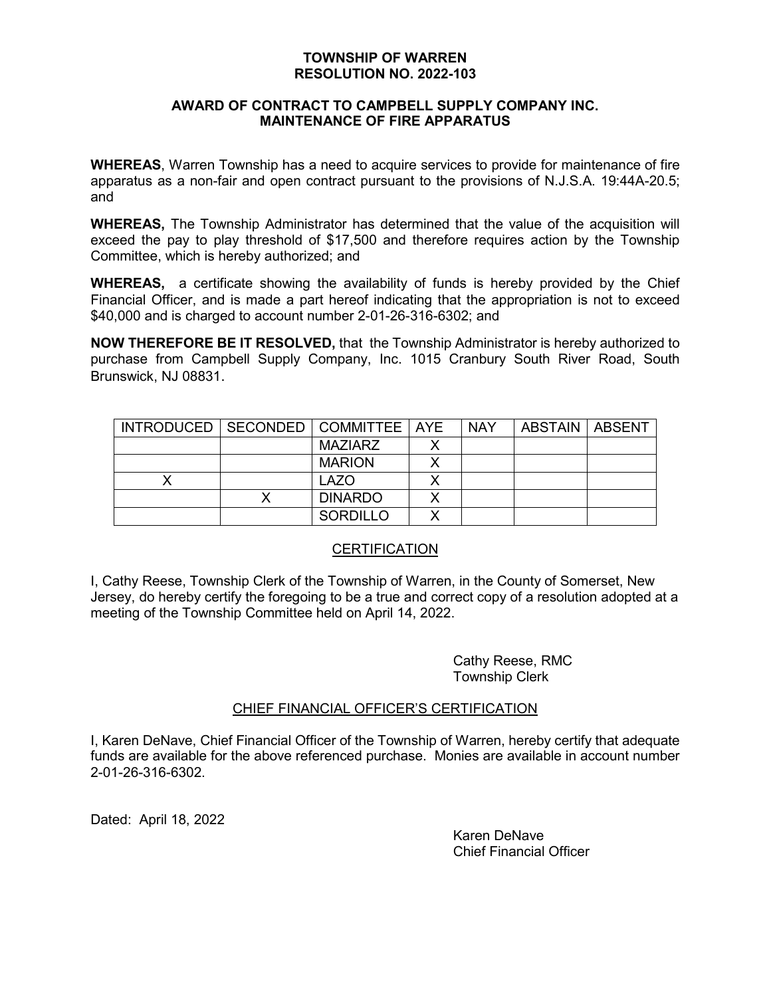### **AWARD OF CONTRACT TO CAMPBELL SUPPLY COMPANY INC. MAINTENANCE OF FIRE APPARATUS**

**WHEREAS**, Warren Township has a need to acquire services to provide for maintenance of fire apparatus as a non-fair and open contract pursuant to the provisions of N.J.S.A. 19:44A-20.5; and

**WHEREAS,** The Township Administrator has determined that the value of the acquisition will exceed the pay to play threshold of \$17,500 and therefore requires action by the Township Committee, which is hereby authorized; and

**WHEREAS,** a certificate showing the availability of funds is hereby provided by the Chief Financial Officer, and is made a part hereof indicating that the appropriation is not to exceed \$40,000 and is charged to account number 2-01-26-316-6302; and

**NOW THEREFORE BE IT RESOLVED,** that the Township Administrator is hereby authorized to purchase from Campbell Supply Company, Inc. 1015 Cranbury South River Road, South Brunswick, NJ 08831.

| INTRODUCED   SECONDED   COMMITTEE   AYE |                 | <b>NAY</b> | ABSTAIN   ABSENT |  |
|-----------------------------------------|-----------------|------------|------------------|--|
|                                         | <b>MAZIARZ</b>  |            |                  |  |
|                                         | <b>MARION</b>   |            |                  |  |
|                                         | <b>LAZO</b>     |            |                  |  |
|                                         | <b>DINARDO</b>  |            |                  |  |
|                                         | <b>SORDILLO</b> |            |                  |  |

# **CERTIFICATION**

I, Cathy Reese, Township Clerk of the Township of Warren, in the County of Somerset, New Jersey, do hereby certify the foregoing to be a true and correct copy of a resolution adopted at a meeting of the Township Committee held on April 14, 2022.

> Cathy Reese, RMC Township Clerk

### CHIEF FINANCIAL OFFICER'S CERTIFICATION

I, Karen DeNave, Chief Financial Officer of the Township of Warren, hereby certify that adequate funds are available for the above referenced purchase. Monies are available in account number 2-01-26-316-6302.

Dated: April 18, 2022

Karen DeNave Chief Financial Officer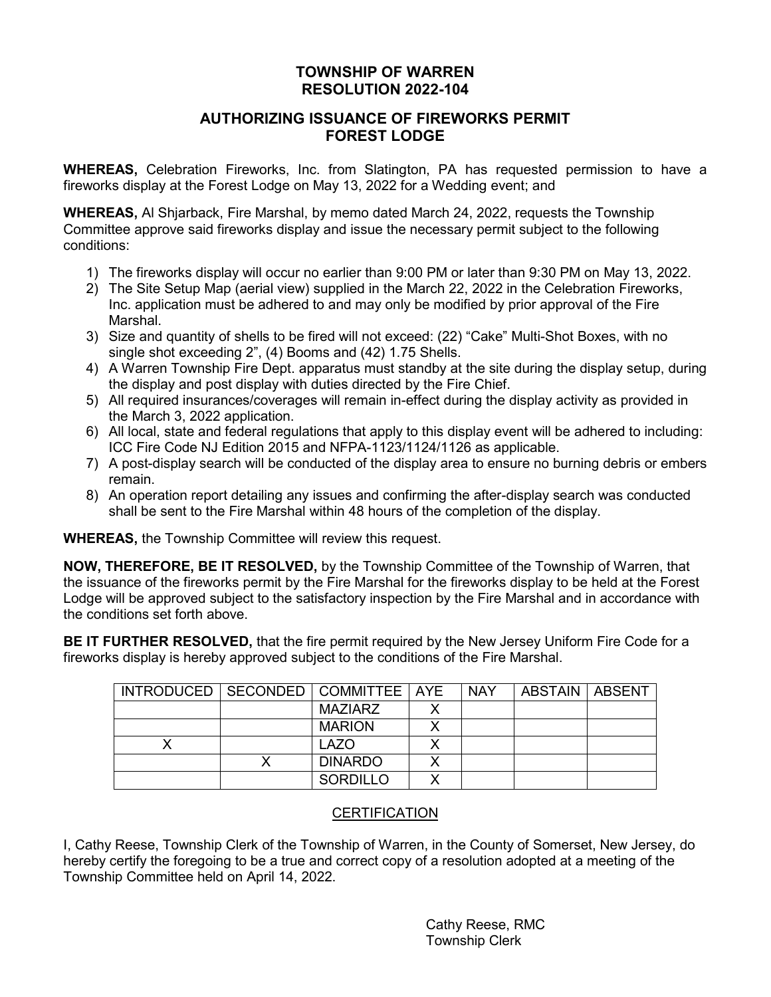# **AUTHORIZING ISSUANCE OF FIREWORKS PERMIT FOREST LODGE**

**WHEREAS,** Celebration Fireworks, Inc. from Slatington, PA has requested permission to have a fireworks display at the Forest Lodge on May 13, 2022 for a Wedding event; and

**WHEREAS,** Al Shjarback, Fire Marshal, by memo dated March 24, 2022, requests the Township Committee approve said fireworks display and issue the necessary permit subject to the following conditions:

- 1) The fireworks display will occur no earlier than 9:00 PM or later than 9:30 PM on May 13, 2022.
- 2) The Site Setup Map (aerial view) supplied in the March 22, 2022 in the Celebration Fireworks, Inc. application must be adhered to and may only be modified by prior approval of the Fire Marshal.
- 3) Size and quantity of shells to be fired will not exceed: (22) "Cake" Multi-Shot Boxes, with no single shot exceeding 2", (4) Booms and (42) 1.75 Shells.
- 4) A Warren Township Fire Dept. apparatus must standby at the site during the display setup, during the display and post display with duties directed by the Fire Chief.
- 5) All required insurances/coverages will remain in-effect during the display activity as provided in the March 3, 2022 application.
- 6) All local, state and federal regulations that apply to this display event will be adhered to including: ICC Fire Code NJ Edition 2015 and NFPA-1123/1124/1126 as applicable.
- 7) A post-display search will be conducted of the display area to ensure no burning debris or embers remain.
- 8) An operation report detailing any issues and confirming the after-display search was conducted shall be sent to the Fire Marshal within 48 hours of the completion of the display.

**WHEREAS,** the Township Committee will review this request.

**NOW, THEREFORE, BE IT RESOLVED,** by the Township Committee of the Township of Warren, that the issuance of the fireworks permit by the Fire Marshal for the fireworks display to be held at the Forest Lodge will be approved subject to the satisfactory inspection by the Fire Marshal and in accordance with the conditions set forth above.

**BE IT FURTHER RESOLVED,** that the fire permit required by the New Jersey Uniform Fire Code for a fireworks display is hereby approved subject to the conditions of the Fire Marshal.

| INTRODUCED   SECONDED   COMMITTEE   AYE |                 | <b>NAY</b> | ∣ ABSTAIN ∣ ABSENT |  |
|-----------------------------------------|-----------------|------------|--------------------|--|
|                                         | MAZIARZ         |            |                    |  |
|                                         | <b>MARION</b>   |            |                    |  |
|                                         | LAZO            |            |                    |  |
|                                         | <b>DINARDO</b>  |            |                    |  |
|                                         | <b>SORDILLO</b> |            |                    |  |

# **CERTIFICATION**

I, Cathy Reese, Township Clerk of the Township of Warren, in the County of Somerset, New Jersey, do hereby certify the foregoing to be a true and correct copy of a resolution adopted at a meeting of the Township Committee held on April 14, 2022.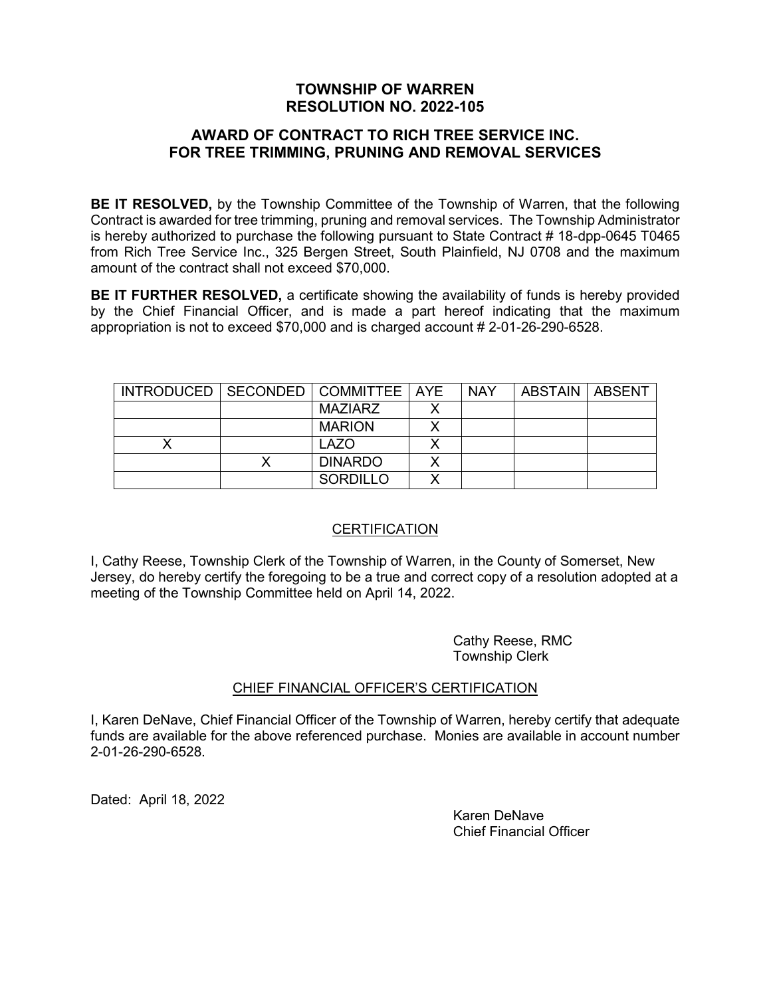## **AWARD OF CONTRACT TO RICH TREE SERVICE INC. FOR TREE TRIMMING, PRUNING AND REMOVAL SERVICES**

**BE IT RESOLVED,** by the Township Committee of the Township of Warren, that the following Contract is awarded for tree trimming, pruning and removal services. The Township Administrator is hereby authorized to purchase the following pursuant to State Contract # 18-dpp-0645 T0465 from Rich Tree Service Inc., 325 Bergen Street, South Plainfield, NJ 0708 and the maximum amount of the contract shall not exceed \$70,000.

**BE IT FURTHER RESOLVED,** a certificate showing the availability of funds is hereby provided by the Chief Financial Officer, and is made a part hereof indicating that the maximum appropriation is not to exceed \$70,000 and is charged account # 2-01-26-290-6528.

| INTRODUCED   SECONDED   COMMITTEE   AYE |                 |   | <b>NAY</b> | ABSTAIN   ABSENT |  |
|-----------------------------------------|-----------------|---|------------|------------------|--|
|                                         | MAZIARZ         |   |            |                  |  |
|                                         | <b>MARION</b>   | x |            |                  |  |
|                                         | LAZO            |   |            |                  |  |
|                                         | <b>DINARDO</b>  | Х |            |                  |  |
|                                         | <b>SORDILLO</b> | Х |            |                  |  |

# **CERTIFICATION**

I, Cathy Reese, Township Clerk of the Township of Warren, in the County of Somerset, New Jersey, do hereby certify the foregoing to be a true and correct copy of a resolution adopted at a meeting of the Township Committee held on April 14, 2022.

> Cathy Reese, RMC Township Clerk

# CHIEF FINANCIAL OFFICER'S CERTIFICATION

I, Karen DeNave, Chief Financial Officer of the Township of Warren, hereby certify that adequate funds are available for the above referenced purchase. Monies are available in account number 2-01-26-290-6528.

Dated: April 18, 2022

Karen DeNave Chief Financial Officer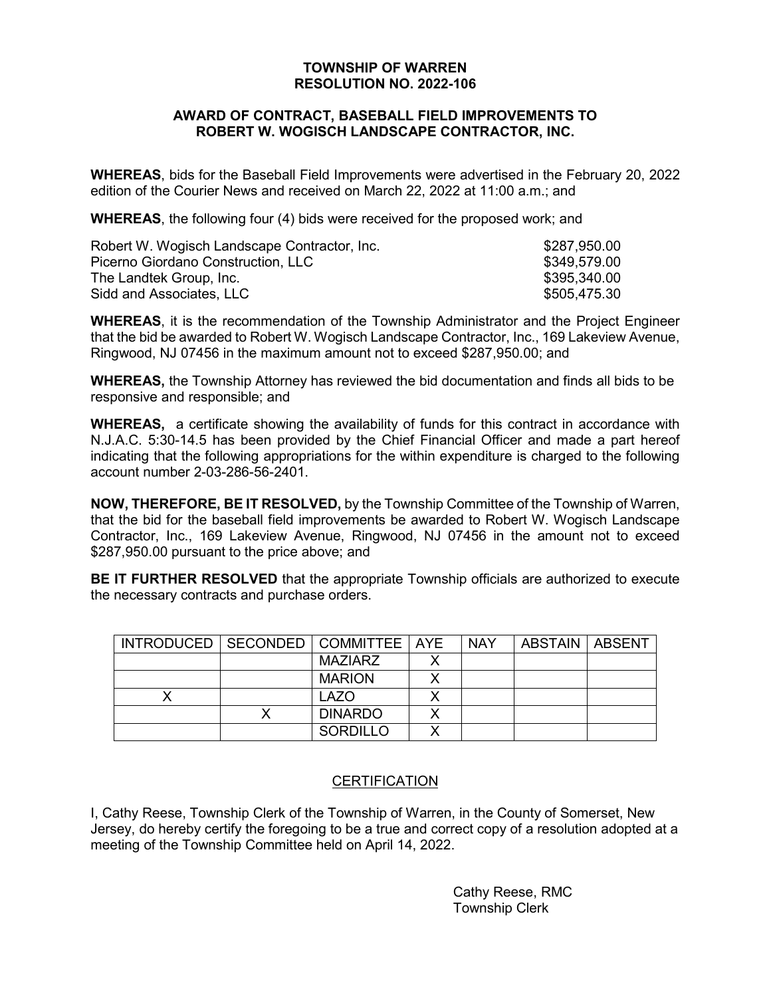### **AWARD OF CONTRACT, BASEBALL FIELD IMPROVEMENTS TO ROBERT W. WOGISCH LANDSCAPE CONTRACTOR, INC.**

**WHEREAS**, bids for the Baseball Field Improvements were advertised in the February 20, 2022 edition of the Courier News and received on March 22, 2022 at 11:00 a.m.; and

**WHEREAS**, the following four (4) bids were received for the proposed work; and

| Robert W. Wogisch Landscape Contractor, Inc. | \$287,950.00 |
|----------------------------------------------|--------------|
| Picerno Giordano Construction, LLC           | \$349,579.00 |
| The Landtek Group, Inc.                      | \$395,340.00 |
| Sidd and Associates, LLC                     | \$505,475.30 |

**WHEREAS**, it is the recommendation of the Township Administrator and the Project Engineer that the bid be awarded to Robert W. Wogisch Landscape Contractor, Inc., 169 Lakeview Avenue, Ringwood, NJ 07456 in the maximum amount not to exceed \$287,950.00; and

**WHEREAS,** the Township Attorney has reviewed the bid documentation and finds all bids to be responsive and responsible; and

**WHEREAS,** a certificate showing the availability of funds for this contract in accordance with N.J.A.C. 5:30-14.5 has been provided by the Chief Financial Officer and made a part hereof indicating that the following appropriations for the within expenditure is charged to the following account number 2-03-286-56-2401.

**NOW, THEREFORE, BE IT RESOLVED,** by the Township Committee of the Township of Warren, that the bid for the baseball field improvements be awarded to Robert W. Wogisch Landscape Contractor, Inc., 169 Lakeview Avenue, Ringwood, NJ 07456 in the amount not to exceed \$287,950.00 pursuant to the price above; and

**BE IT FURTHER RESOLVED** that the appropriate Township officials are authorized to execute the necessary contracts and purchase orders.

| INTRODUCED   SECONDED   COMMITTEE   AYE |                 | <b>NAY</b> | ABSTAIN   ABSENT |  |
|-----------------------------------------|-----------------|------------|------------------|--|
|                                         | MAZIARZ         |            |                  |  |
|                                         | <b>MARION</b>   |            |                  |  |
|                                         | <b>LAZO</b>     |            |                  |  |
|                                         | <b>DINARDO</b>  |            |                  |  |
|                                         | <b>SORDILLO</b> |            |                  |  |

### **CERTIFICATION**

I, Cathy Reese, Township Clerk of the Township of Warren, in the County of Somerset, New Jersey, do hereby certify the foregoing to be a true and correct copy of a resolution adopted at a meeting of the Township Committee held on April 14, 2022.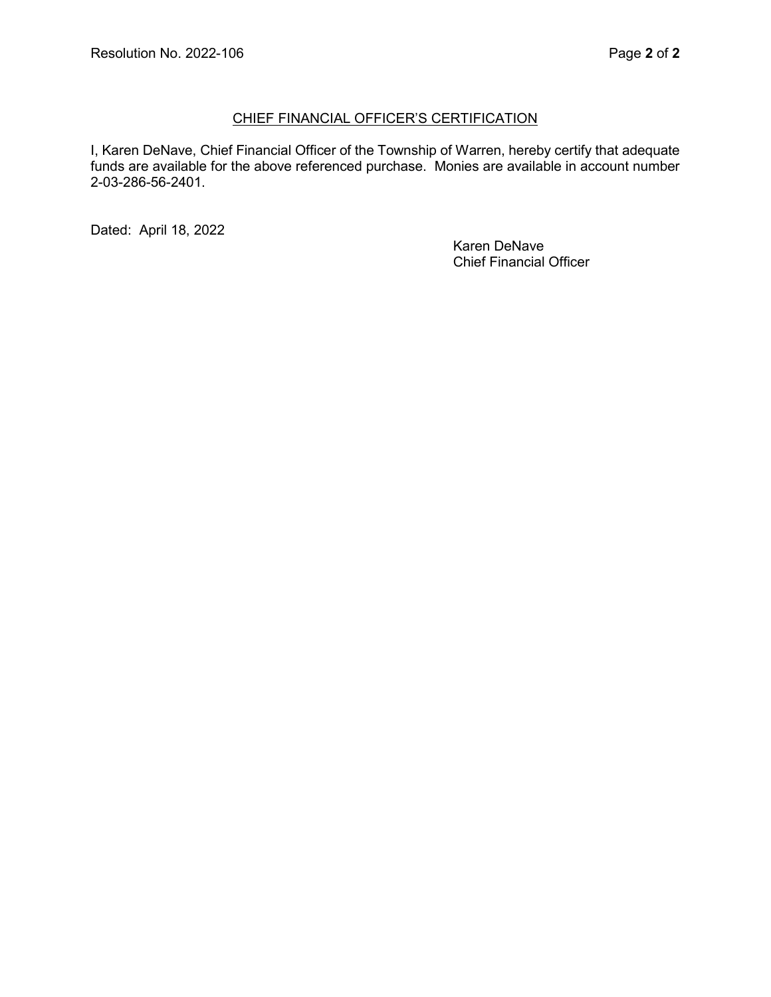## CHIEF FINANCIAL OFFICER'S CERTIFICATION

I, Karen DeNave, Chief Financial Officer of the Township of Warren, hereby certify that adequate funds are available for the above referenced purchase. Monies are available in account number 2-03-286-56-2401.

Dated: April 18, 2022

Karen DeNave Chief Financial Officer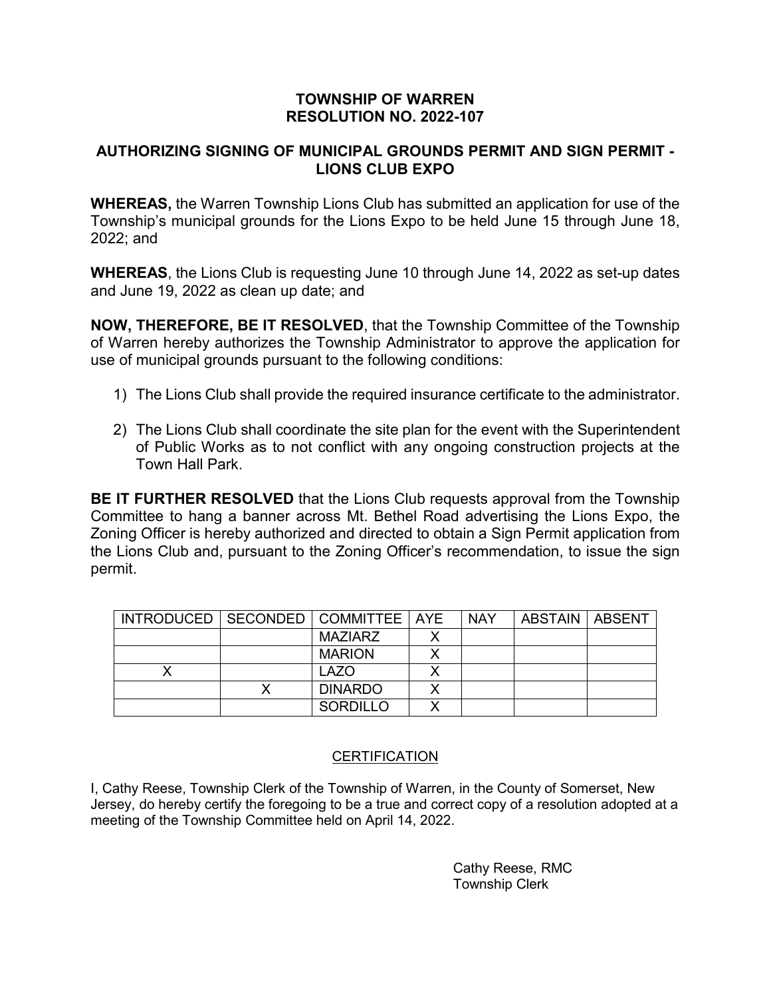# **AUTHORIZING SIGNING OF MUNICIPAL GROUNDS PERMIT AND SIGN PERMIT - LIONS CLUB EXPO**

**WHEREAS,** the Warren Township Lions Club has submitted an application for use of the Township's municipal grounds for the Lions Expo to be held June 15 through June 18, 2022; and

**WHEREAS**, the Lions Club is requesting June 10 through June 14, 2022 as set-up dates and June 19, 2022 as clean up date; and

**NOW, THEREFORE, BE IT RESOLVED**, that the Township Committee of the Township of Warren hereby authorizes the Township Administrator to approve the application for use of municipal grounds pursuant to the following conditions:

- 1) The Lions Club shall provide the required insurance certificate to the administrator.
- 2) The Lions Club shall coordinate the site plan for the event with the Superintendent of Public Works as to not conflict with any ongoing construction projects at the Town Hall Park.

**BE IT FURTHER RESOLVED** that the Lions Club requests approval from the Township Committee to hang a banner across Mt. Bethel Road advertising the Lions Expo, the Zoning Officer is hereby authorized and directed to obtain a Sign Permit application from the Lions Club and, pursuant to the Zoning Officer's recommendation, to issue the sign permit.

| INTRODUCED   SECONDED   COMMITTEE   AYE |                 | <b>NAY</b> | ABSTAIN   ABSENT |  |
|-----------------------------------------|-----------------|------------|------------------|--|
|                                         | MAZIARZ         |            |                  |  |
|                                         | <b>MARION</b>   |            |                  |  |
|                                         | LAZO            |            |                  |  |
|                                         | <b>DINARDO</b>  |            |                  |  |
|                                         | <b>SORDILLO</b> |            |                  |  |

# **CERTIFICATION**

I, Cathy Reese, Township Clerk of the Township of Warren, in the County of Somerset, New Jersey, do hereby certify the foregoing to be a true and correct copy of a resolution adopted at a meeting of the Township Committee held on April 14, 2022.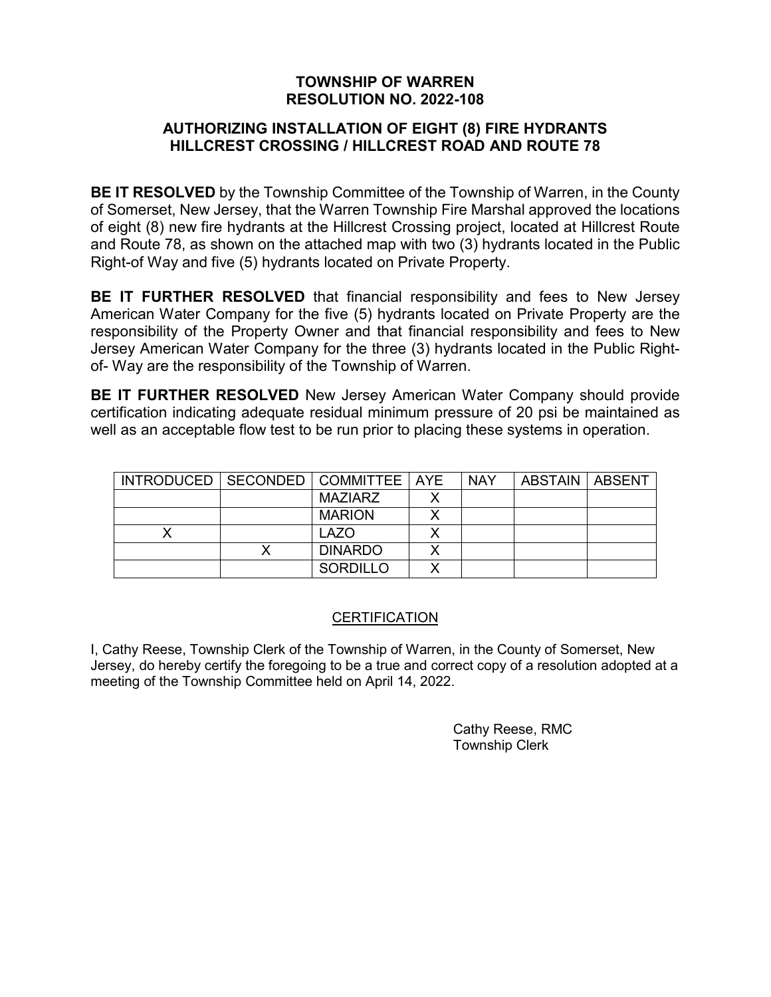# **AUTHORIZING INSTALLATION OF EIGHT (8) FIRE HYDRANTS HILLCREST CROSSING / HILLCREST ROAD AND ROUTE 78**

**BE IT RESOLVED** by the Township Committee of the Township of Warren, in the County of Somerset, New Jersey, that the Warren Township Fire Marshal approved the locations of eight (8) new fire hydrants at the Hillcrest Crossing project, located at Hillcrest Route and Route 78, as shown on the attached map with two (3) hydrants located in the Public Right-of Way and five (5) hydrants located on Private Property.

**BE IT FURTHER RESOLVED** that financial responsibility and fees to New Jersey American Water Company for the five (5) hydrants located on Private Property are the responsibility of the Property Owner and that financial responsibility and fees to New Jersey American Water Company for the three (3) hydrants located in the Public Rightof- Way are the responsibility of the Township of Warren.

**BE IT FURTHER RESOLVED** New Jersey American Water Company should provide certification indicating adequate residual minimum pressure of 20 psi be maintained as well as an acceptable flow test to be run prior to placing these systems in operation.

| INTRODUCED   SECONDED   COMMITTEE   AYE |                 | <b>NAY</b> | <b>ABSTAIN   ABSENT</b> |  |
|-----------------------------------------|-----------------|------------|-------------------------|--|
|                                         | MAZIARZ         |            |                         |  |
|                                         | <b>MARION</b>   |            |                         |  |
|                                         | LAZO            |            |                         |  |
|                                         | <b>DINARDO</b>  |            |                         |  |
|                                         | <b>SORDILLO</b> |            |                         |  |

# **CERTIFICATION**

I, Cathy Reese, Township Clerk of the Township of Warren, in the County of Somerset, New Jersey, do hereby certify the foregoing to be a true and correct copy of a resolution adopted at a meeting of the Township Committee held on April 14, 2022.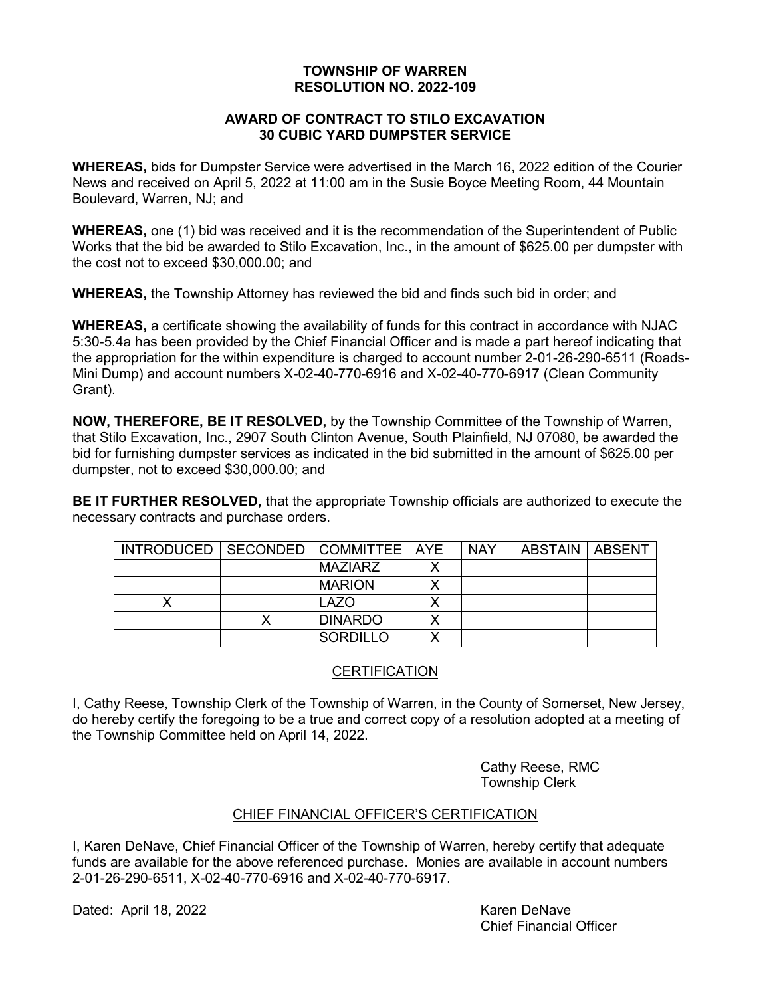### **AWARD OF CONTRACT TO STILO EXCAVATION 30 CUBIC YARD DUMPSTER SERVICE**

**WHEREAS,** bids for Dumpster Service were advertised in the March 16, 2022 edition of the Courier News and received on April 5, 2022 at 11:00 am in the Susie Boyce Meeting Room, 44 Mountain Boulevard, Warren, NJ; and

**WHEREAS,** one (1) bid was received and it is the recommendation of the Superintendent of Public Works that the bid be awarded to Stilo Excavation, Inc., in the amount of \$625.00 per dumpster with the cost not to exceed \$30,000.00; and

**WHEREAS,** the Township Attorney has reviewed the bid and finds such bid in order; and

**WHEREAS,** a certificate showing the availability of funds for this contract in accordance with NJAC 5:30-5.4a has been provided by the Chief Financial Officer and is made a part hereof indicating that the appropriation for the within expenditure is charged to account number 2-01-26-290-6511 (Roads-Mini Dump) and account numbers X-02-40-770-6916 and X-02-40-770-6917 (Clean Community Grant).

**NOW, THEREFORE, BE IT RESOLVED,** by the Township Committee of the Township of Warren, that Stilo Excavation, Inc., 2907 South Clinton Avenue, South Plainfield, NJ 07080, be awarded the bid for furnishing dumpster services as indicated in the bid submitted in the amount of \$625.00 per dumpster, not to exceed \$30,000.00; and

**BE IT FURTHER RESOLVED,** that the appropriate Township officials are authorized to execute the necessary contracts and purchase orders.

| INTRODUCED   SECONDED   COMMITTEE   AYE |                 |   | <b>NAY</b> | ABSTAIN   ABSENT |  |
|-----------------------------------------|-----------------|---|------------|------------------|--|
|                                         | MAZIARZ         |   |            |                  |  |
|                                         | <b>MARION</b>   |   |            |                  |  |
|                                         | <b>LAZO</b>     |   |            |                  |  |
|                                         | <b>DINARDO</b>  |   |            |                  |  |
|                                         | <b>SORDILLO</b> | ◡ |            |                  |  |

# **CERTIFICATION**

I, Cathy Reese, Township Clerk of the Township of Warren, in the County of Somerset, New Jersey, do hereby certify the foregoing to be a true and correct copy of a resolution adopted at a meeting of the Township Committee held on April 14, 2022.

> Cathy Reese, RMC Township Clerk

# CHIEF FINANCIAL OFFICER'S CERTIFICATION

I, Karen DeNave, Chief Financial Officer of the Township of Warren, hereby certify that adequate funds are available for the above referenced purchase. Monies are available in account numbers 2-01-26-290-6511, X-02-40-770-6916 and X-02-40-770-6917.

Dated: April 18, 2022 Karen DeNave

Chief Financial Officer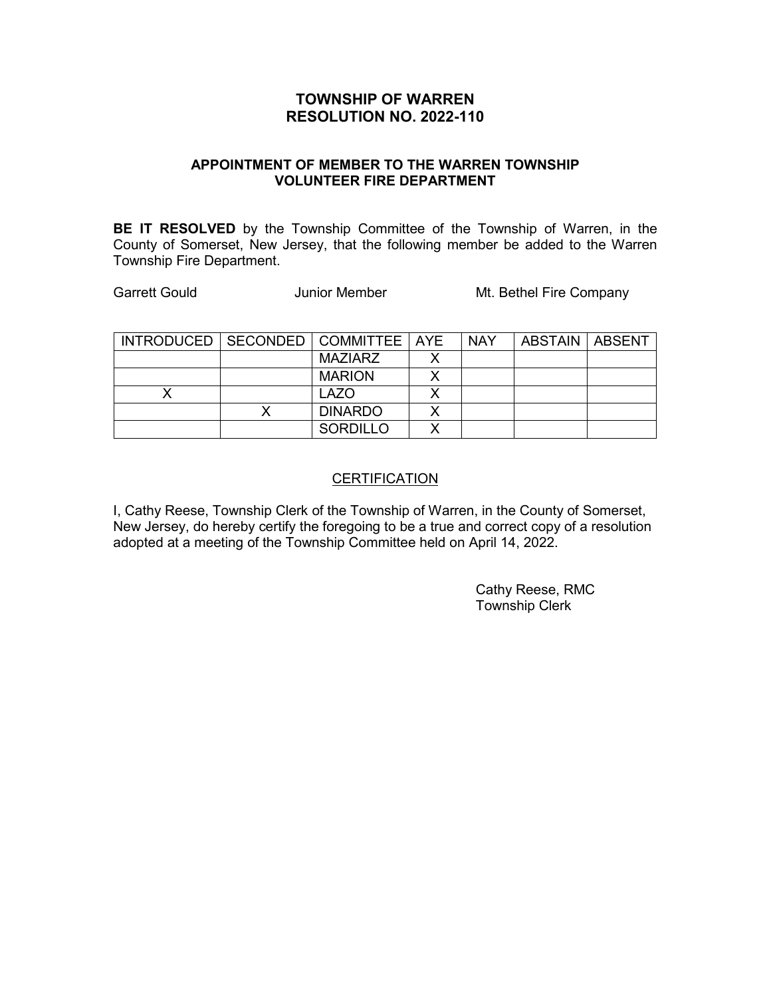### **APPOINTMENT OF MEMBER TO THE WARREN TOWNSHIP VOLUNTEER FIRE DEPARTMENT**

**BE IT RESOLVED** by the Township Committee of the Township of Warren, in the County of Somerset, New Jersey, that the following member be added to the Warren Township Fire Department.

Garrett Gould **Carrett Gould** Junior Member Mt. Bethel Fire Company

| INTRODUCED   SECONDED   COMMITTEE   AYE |                 | <b>NAY</b> | ABSTAIN   ABSENT |  |
|-----------------------------------------|-----------------|------------|------------------|--|
|                                         | MAZIARZ         |            |                  |  |
|                                         | <b>MARION</b>   |            |                  |  |
|                                         | <b>LAZO</b>     |            |                  |  |
|                                         | <b>DINARDO</b>  |            |                  |  |
|                                         | <b>SORDILLO</b> |            |                  |  |

### **CERTIFICATION**

I, Cathy Reese, Township Clerk of the Township of Warren, in the County of Somerset, New Jersey, do hereby certify the foregoing to be a true and correct copy of a resolution adopted at a meeting of the Township Committee held on April 14, 2022.